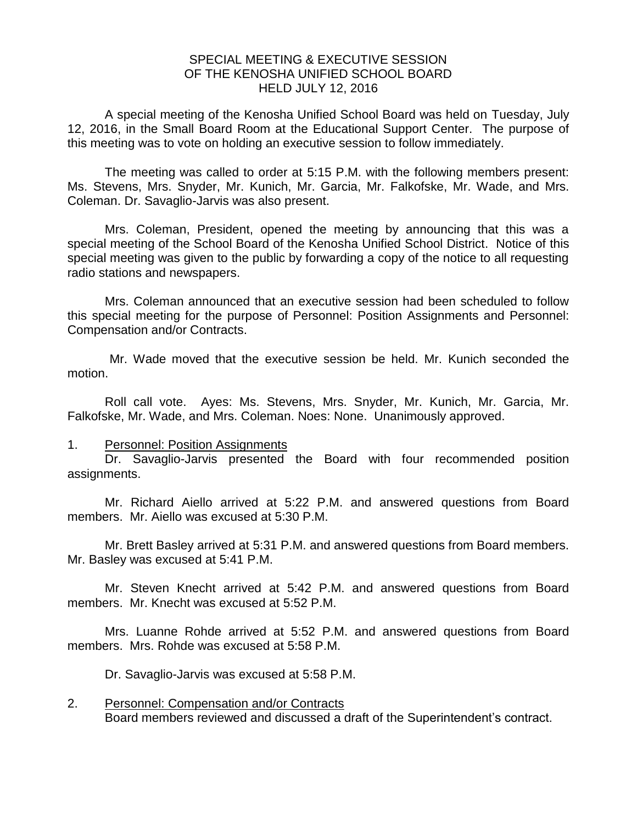## SPECIAL MEETING & EXECUTIVE SESSION OF THE KENOSHA UNIFIED SCHOOL BOARD HELD JULY 12, 2016

A special meeting of the Kenosha Unified School Board was held on Tuesday, July 12, 2016, in the Small Board Room at the Educational Support Center. The purpose of this meeting was to vote on holding an executive session to follow immediately.

The meeting was called to order at 5:15 P.M. with the following members present: Ms. Stevens, Mrs. Snyder, Mr. Kunich, Mr. Garcia, Mr. Falkofske, Mr. Wade, and Mrs. Coleman. Dr. Savaglio-Jarvis was also present.

Mrs. Coleman, President, opened the meeting by announcing that this was a special meeting of the School Board of the Kenosha Unified School District. Notice of this special meeting was given to the public by forwarding a copy of the notice to all requesting radio stations and newspapers.

Mrs. Coleman announced that an executive session had been scheduled to follow this special meeting for the purpose of Personnel: Position Assignments and Personnel: Compensation and/or Contracts.

Mr. Wade moved that the executive session be held. Mr. Kunich seconded the motion.

Roll call vote. Ayes: Ms. Stevens, Mrs. Snyder, Mr. Kunich, Mr. Garcia, Mr. Falkofske, Mr. Wade, and Mrs. Coleman. Noes: None. Unanimously approved.

## 1. Personnel: Position Assignments

Dr. Savaglio-Jarvis presented the Board with four recommended position assignments.

Mr. Richard Aiello arrived at 5:22 P.M. and answered questions from Board members. Mr. Aiello was excused at 5:30 P.M.

Mr. Brett Basley arrived at 5:31 P.M. and answered questions from Board members. Mr. Basley was excused at 5:41 P.M.

Mr. Steven Knecht arrived at 5:42 P.M. and answered questions from Board members. Mr. Knecht was excused at 5:52 P.M.

Mrs. Luanne Rohde arrived at 5:52 P.M. and answered questions from Board members. Mrs. Rohde was excused at 5:58 P.M.

Dr. Savaglio-Jarvis was excused at 5:58 P.M.

2. Personnel: Compensation and/or Contracts Board members reviewed and discussed a draft of the Superintendent's contract.